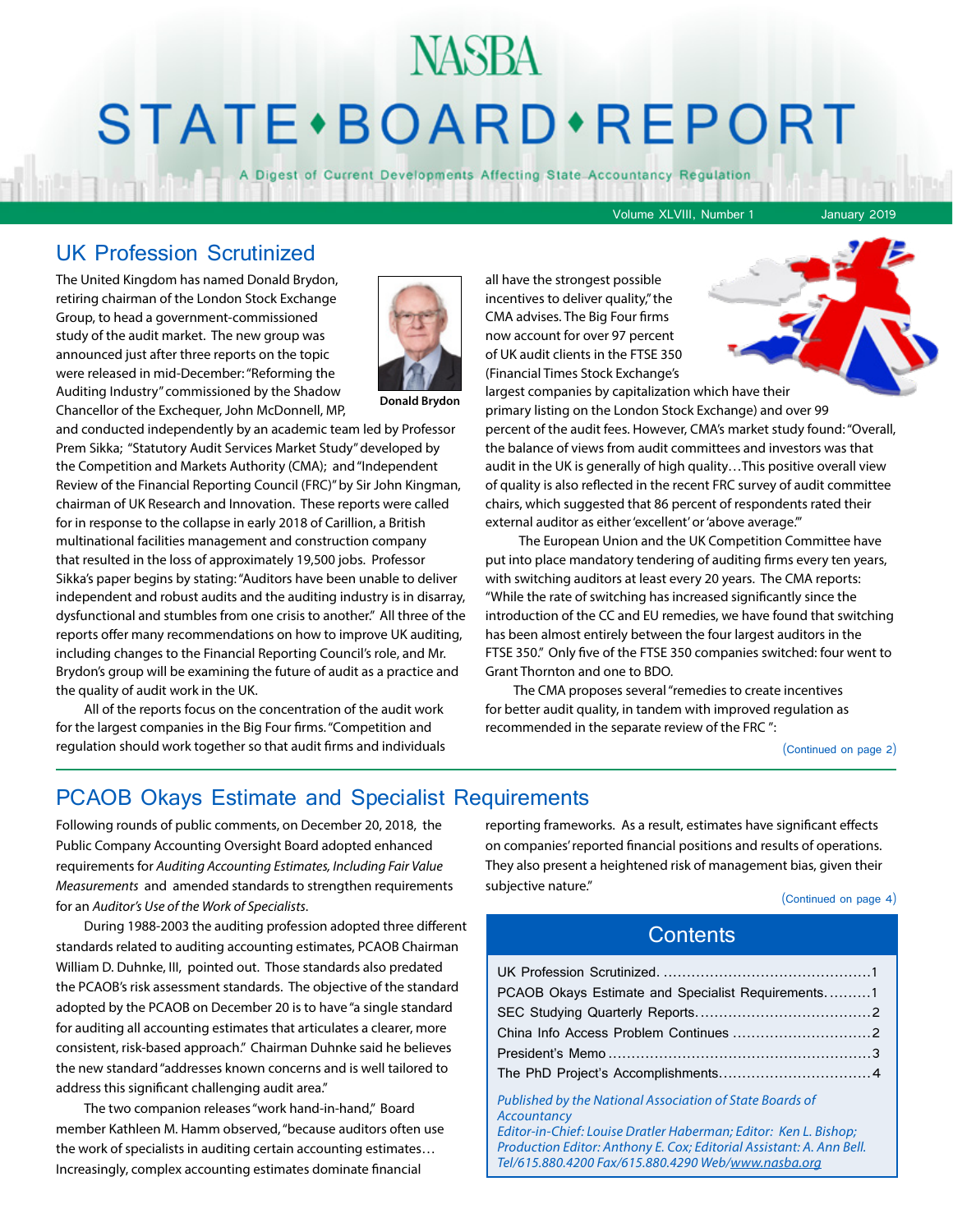## NASBA STATE · BOARD · REPORT

A Digest of Current Developments Affecting State Accountancy Regulation

Volume XLVIII, Number 1 January 2019

### UK Profession Scrutinized

The United Kingdom has named Donald Brydon, retiring chairman of the London Stock Exchange Group, to head a government-commissioned study of the audit market. The new group was announced just after three reports on the topic were released in mid-December: "Reforming the Auditing Industry" commissioned by the Shadow Chancellor of the Exchequer, John McDonnell, MP,



**Donald Brydon**

and conducted independently by an academic team led by Professor Prem Sikka; "Statutory Audit Services Market Study" developed by the Competition and Markets Authority (CMA); and "Independent Review of the Financial Reporting Council (FRC)" by Sir John Kingman, chairman of UK Research and Innovation. These reports were called for in response to the collapse in early 2018 of Carillion, a British multinational facilities management and construction company that resulted in the loss of approximately 19,500 jobs. Professor Sikka's paper begins by stating: "Auditors have been unable to deliver independent and robust audits and the auditing industry is in disarray, dysfunctional and stumbles from one crisis to another." All three of the reports offer many recommendations on how to improve UK auditing, including changes to the Financial Reporting Council's role, and Mr. Brydon's group will be examining the future of audit as a practice and the quality of audit work in the UK.

All of the reports focus on the concentration of the audit work for the largest companies in the Big Four firms. "Competition and regulation should work together so that audit firms and individuals

all have the strongest possible incentives to deliver quality," the CMA advises. The Big Four firms now account for over 97 percent of UK audit clients in the FTSE 350 (Financial Times Stock Exchange's



primary listing on the London Stock Exchange) and over 99 percent of the audit fees. However, CMA's market study found: "Overall, the balance of views from audit committees and investors was that audit in the UK is generally of high quality…This positive overall view of quality is also reflected in the recent FRC survey of audit committee chairs, which suggested that 86 percent of respondents rated their external auditor as either 'excellent' or 'above average."

 The European Union and the UK Competition Committee have put into place mandatory tendering of auditing firms every ten years, with switching auditors at least every 20 years. The CMA reports: "While the rate of switching has increased significantly since the introduction of the CC and EU remedies, we have found that switching has been almost entirely between the four largest auditors in the FTSE 350." Only five of the FTSE 350 companies switched: four went to Grant Thornton and one to BDO.

The CMA proposes several "remedies to create incentives for better audit quality, in tandem with improved regulation as recommended in the separate review of the FRC ":

(Continued on page 2)

### PCAOB Okays Estimate and Specialist Requirements

Following rounds of public comments, on December 20, 2018, the Public Company Accounting Oversight Board adopted enhanced requirements for *Auditing Accounting Estimates, Including Fair Value Measurements* and amended standards to strengthen requirements for an *Auditor's Use of the Work of Specialists*.

During 1988-2003 the auditing profession adopted three different standards related to auditing accounting estimates, PCAOB Chairman William D. Duhnke, III, pointed out. Those standards also predated the PCAOB's risk assessment standards. The objective of the standard adopted by the PCAOB on December 20 is to have "a single standard for auditing all accounting estimates that articulates a clearer, more consistent, risk-based approach." Chairman Duhnke said he believes the new standard "addresses known concerns and is well tailored to address this significant challenging audit area."

The two companion releases "work hand-in-hand," Board member Kathleen M. Hamm observed, "because auditors often use the work of specialists in auditing certain accounting estimates… Increasingly, complex accounting estimates dominate financial

reporting frameworks. As a result, estimates have significant effects on companies' reported financial positions and results of operations. They also present a heightened risk of management bias, given their subjective nature."

(Continued on page 4)

### **Contents**

| PCAOB Okays Estimate and Specialist Requirements1 |
|---------------------------------------------------|
|                                                   |
|                                                   |
|                                                   |
|                                                   |
|                                                   |

*Published by the National Association of State Boards of Accountancy Editor-in-Chief: Louise Dratler Haberman; Editor: Ken L. Bishop; Production Editor: Anthony E. Cox; Editorial Assistant: A. Ann Bell. Tel/615.880.4200 Fax/615.880.4290 Web/www.nasba.org*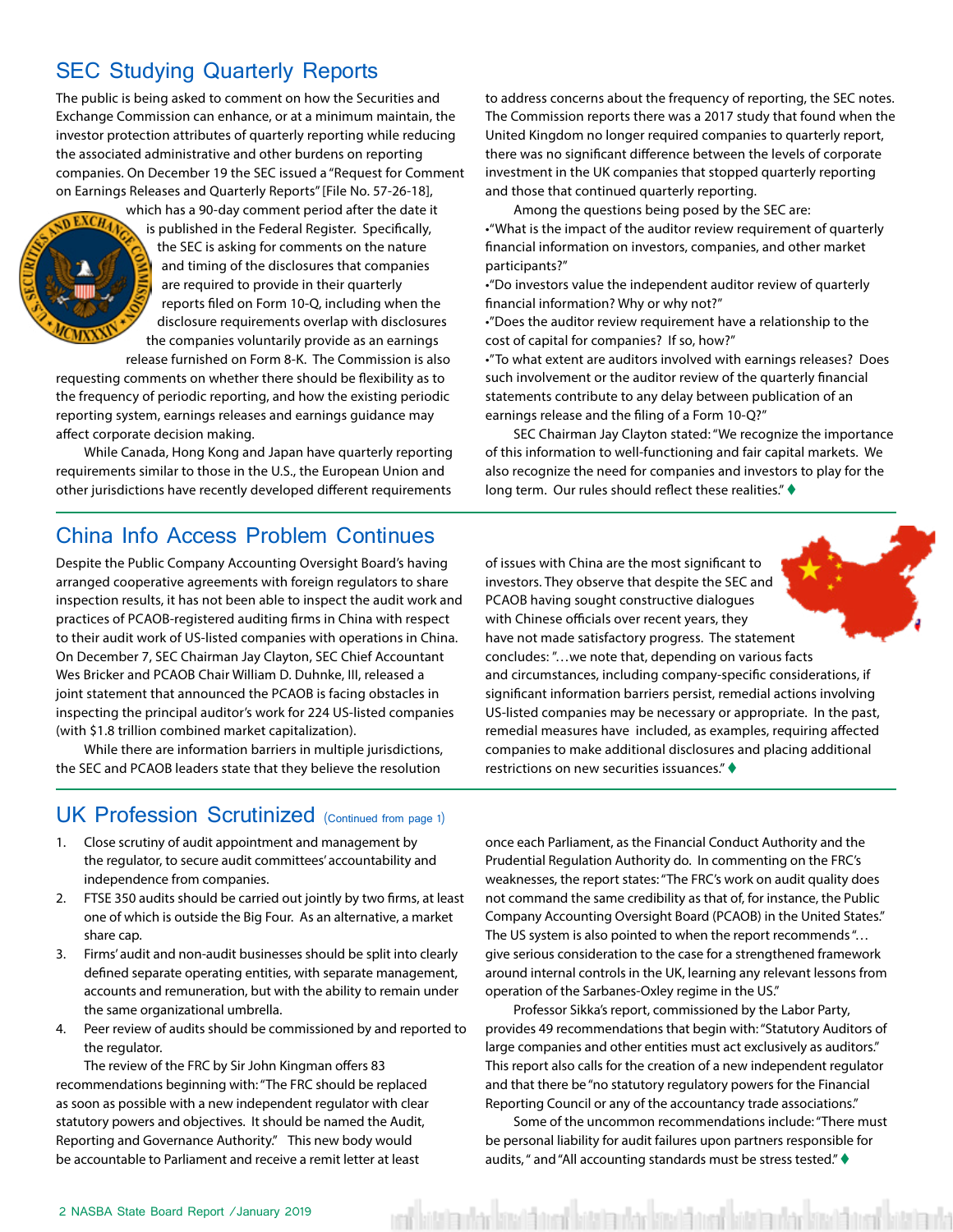### <span id="page-1-0"></span>SEC Studying Quarterly Reports

The public is being asked to comment on how the Securities and Exchange Commission can enhance, or at a minimum maintain, the investor protection attributes of quarterly reporting while reducing the associated administrative and other burdens on reporting companies. On December 19 the SEC issued a "Request for Comment on Earnings Releases and Quarterly Reports" [File No. 57-26-18],



which has a 90-day comment period after the date it is published in the Federal Register. Specifically, the SEC is asking for comments on the nature and timing of the disclosures that companies are required to provide in their quarterly reports filed on Form 10-Q, including when the disclosure requirements overlap with disclosures the companies voluntarily provide as an earnings

release furnished on Form 8-K. The Commission is also requesting comments on whether there should be flexibility as to the frequency of periodic reporting, and how the existing periodic reporting system, earnings releases and earnings guidance may affect corporate decision making.

While Canada, Hong Kong and Japan have quarterly reporting requirements similar to those in the U.S., the European Union and other jurisdictions have recently developed different requirements

to address concerns about the frequency of reporting, the SEC notes. The Commission reports there was a 2017 study that found when the United Kingdom no longer required companies to quarterly report, there was no significant difference between the levels of corporate investment in the UK companies that stopped quarterly reporting and those that continued quarterly reporting.

Among the questions being posed by the SEC are: •"What is the impact of the auditor review requirement of quarterly financial information on investors, companies, and other market participants?"

•"Do investors value the independent auditor review of quarterly financial information? Why or why not?"

•"Does the auditor review requirement have a relationship to the cost of capital for companies? If so, how?"

•"To what extent are auditors involved with earnings releases? Does such involvement or the auditor review of the quarterly financial statements contribute to any delay between publication of an earnings release and the filing of a Form 10-Q?"

SEC Chairman Jay Clayton stated: "We recognize the importance of this information to well-functioning and fair capital markets. We also recognize the need for companies and investors to play for the long term. Our rules should reflect these realities." $\blacklozenge$ 

### China Info Access Problem Continues

Despite the Public Company Accounting Oversight Board's having arranged cooperative agreements with foreign regulators to share inspection results, it has not been able to inspect the audit work and practices of PCAOB-registered auditing firms in China with respect to their audit work of US-listed companies with operations in China. On December 7, SEC Chairman Jay Clayton, SEC Chief Accountant Wes Bricker and PCAOB Chair William D. Duhnke, III, released a joint statement that announced the PCAOB is facing obstacles in inspecting the principal auditor's work for 224 US-listed companies (with \$1.8 trillion combined market capitalization).

While there are information barriers in multiple jurisdictions, the SEC and PCAOB leaders state that they believe the resolution

of issues with China are the most significant to investors. They observe that despite the SEC and PCAOB having sought constructive dialogues with Chinese officials over recent years, they have not made satisfactory progress. The statement concludes: "…we note that, depending on various facts and circumstances, including company-specific considerations, if significant information barriers persist, remedial actions involving US-listed companies may be necessary or appropriate. In the past, remedial measures have included, as examples, requiring affected companies to make additional disclosures and placing additional restrictions on new securities issuances." $\blacklozenge$ 

### UK Profession Scrutinized (Continued from page 1)

- 1. Close scrutiny of audit appointment and management by the regulator, to secure audit committees' accountability and independence from companies.
- 2. FTSE 350 audits should be carried out jointly by two firms, at least one of which is outside the Big Four. As an alternative, a market share cap.
- 3. Firms' audit and non-audit businesses should be split into clearly defined separate operating entities, with separate management, accounts and remuneration, but with the ability to remain under the same organizational umbrella.
- 4. Peer review of audits should be commissioned by and reported to the regulator.

The review of the FRC by Sir John Kingman offers 83 recommendations beginning with: "The FRC should be replaced as soon as possible with a new independent regulator with clear statutory powers and objectives. It should be named the Audit, Reporting and Governance Authority." This new body would be accountable to Parliament and receive a remit letter at least

once each Parliament, as the Financial Conduct Authority and the Prudential Regulation Authority do. In commenting on the FRC's weaknesses, the report states: "The FRC's work on audit quality does not command the same credibility as that of, for instance, the Public Company Accounting Oversight Board (PCAOB) in the United States." The US system is also pointed to when the report recommends "… give serious consideration to the case for a strengthened framework around internal controls in the UK, learning any relevant lessons from operation of the Sarbanes-Oxley regime in the US."

Professor Sikka's report, commissioned by the Labor Party, provides 49 recommendations that begin with: "Statutory Auditors of large companies and other entities must act exclusively as auditors." This report also calls for the creation of a new independent regulator and that there be "no statutory regulatory powers for the Financial Reporting Council or any of the accountancy trade associations."

Some of the uncommon recommendations include: "There must be personal liability for audit failures upon partners responsible for audits, " and "All accounting standards must be stress tested."  $\blacklozenge$ 

red bitata utar bitată tred bitata utar bitată tred bitata utar bitată tred bitata uta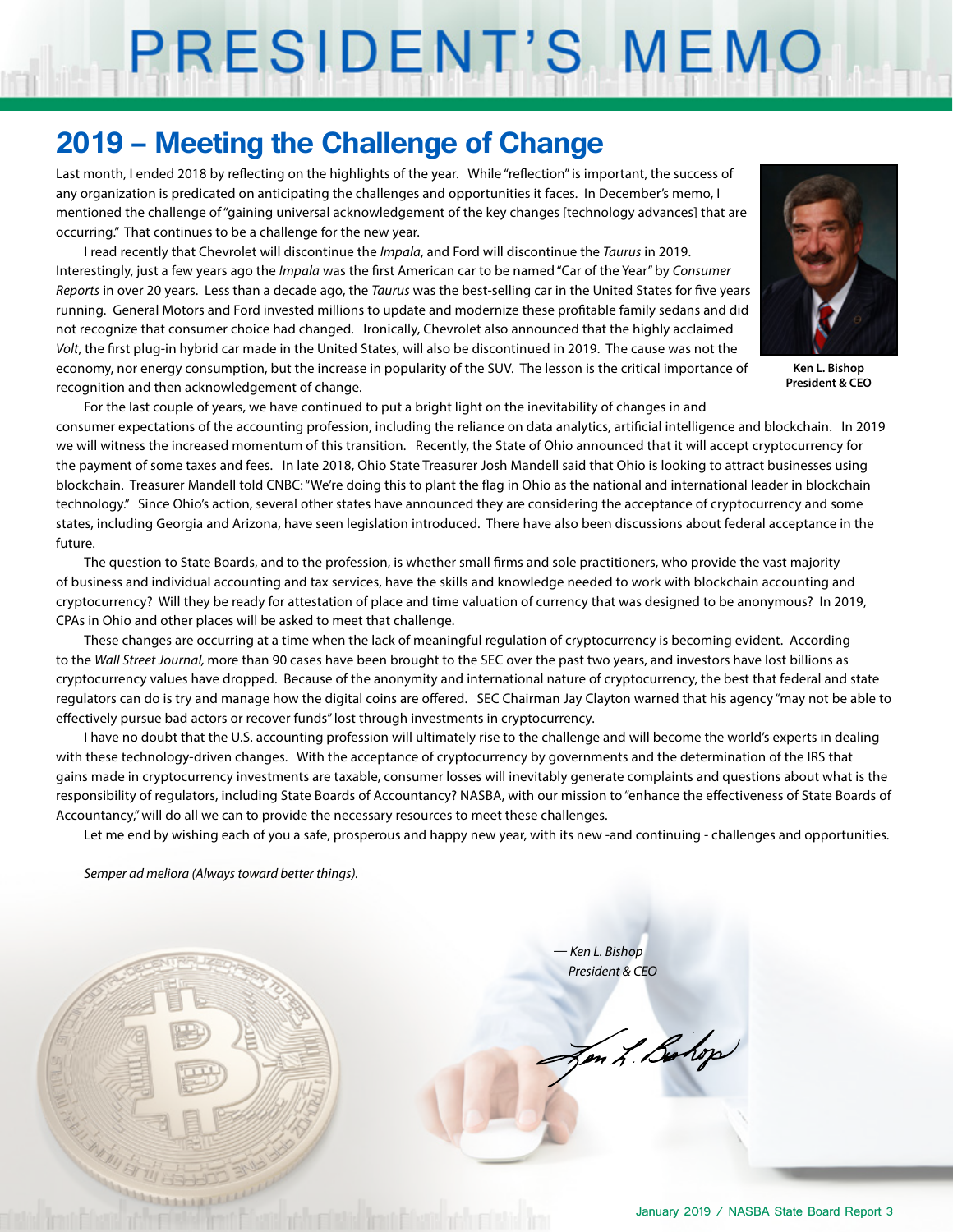# PRESIDENT'S MEMO

### **2019 – Meeting the Challenge of Change**

Last month, I ended 2018 by reflecting on the highlights of the year. While "reflection" is important, the success of any organization is predicated on anticipating the challenges and opportunities it faces. In December's memo, I mentioned the challenge of "gaining universal acknowledgement of the key changes [technology advances] that are occurring." That continues to be a challenge for the new year.

I read recently that Chevrolet will discontinue the *Impala*, and Ford will discontinue the *Taurus* in 2019. Interestingly, just a few years ago the *Impala* was the first American car to be named "Car of the Year" by *Consumer Reports* in over 20 years. Less than a decade ago, the *Taurus* was the best-selling car in the United States for five years running. General Motors and Ford invested millions to update and modernize these profitable family sedans and did not recognize that consumer choice had changed. Ironically, Chevrolet also announced that the highly acclaimed *Volt*, the first plug-in hybrid car made in the United States, will also be discontinued in 2019. The cause was not the economy, nor energy consumption, but the increase in popularity of the SUV. The lesson is the critical importance of recognition and then acknowledgement of change.



**Ken L. Bishop President & CEO**

For the last couple of years, we have continued to put a bright light on the inevitability of changes in and consumer expectations of the accounting profession, including the reliance on data analytics, artificial intelligence and blockchain. In 2019 we will witness the increased momentum of this transition. Recently, the State of Ohio announced that it will accept cryptocurrency for the payment of some taxes and fees. In late 2018, Ohio State Treasurer Josh Mandell said that Ohio is looking to attract businesses using blockchain. Treasurer Mandell told CNBC: "We're doing this to plant the flag in Ohio as the national and international leader in blockchain technology." Since Ohio's action, several other states have announced they are considering the acceptance of cryptocurrency and some states, including Georgia and Arizona, have seen legislation introduced. There have also been discussions about federal acceptance in the future.

The question to State Boards, and to the profession, is whether small firms and sole practitioners, who provide the vast majority of business and individual accounting and tax services, have the skills and knowledge needed to work with blockchain accounting and cryptocurrency? Will they be ready for attestation of place and time valuation of currency that was designed to be anonymous? In 2019, CPAs in Ohio and other places will be asked to meet that challenge.

These changes are occurring at a time when the lack of meaningful regulation of cryptocurrency is becoming evident. According to the *Wall Street Journal,* more than 90 cases have been brought to the SEC over the past two years, and investors have lost billions as cryptocurrency values have dropped. Because of the anonymity and international nature of cryptocurrency, the best that federal and state regulators can do is try and manage how the digital coins are offered. SEC Chairman Jay Clayton warned that his agency "may not be able to effectively pursue bad actors or recover funds" lost through investments in cryptocurrency.

I have no doubt that the U.S. accounting profession will ultimately rise to the challenge and will become the world's experts in dealing with these technology-driven changes. With the acceptance of cryptocurrency by governments and the determination of the IRS that gains made in cryptocurrency investments are taxable, consumer losses will inevitably generate complaints and questions about what is the responsibility of regulators, including State Boards of Accountancy? NASBA, with our mission to "enhance the effectiveness of State Boards of Accountancy," will do all we can to provide the necessary resources to meet these challenges.

Let me end by wishing each of you a safe, prosperous and happy new year, with its new -and continuing - challenges and opportunities.

*Semper ad meliora (Always toward better things).*



*— Ken L. Bishop President & CEO*

Jen L. Bohop

January 2019 / NASBA State Board Report 3